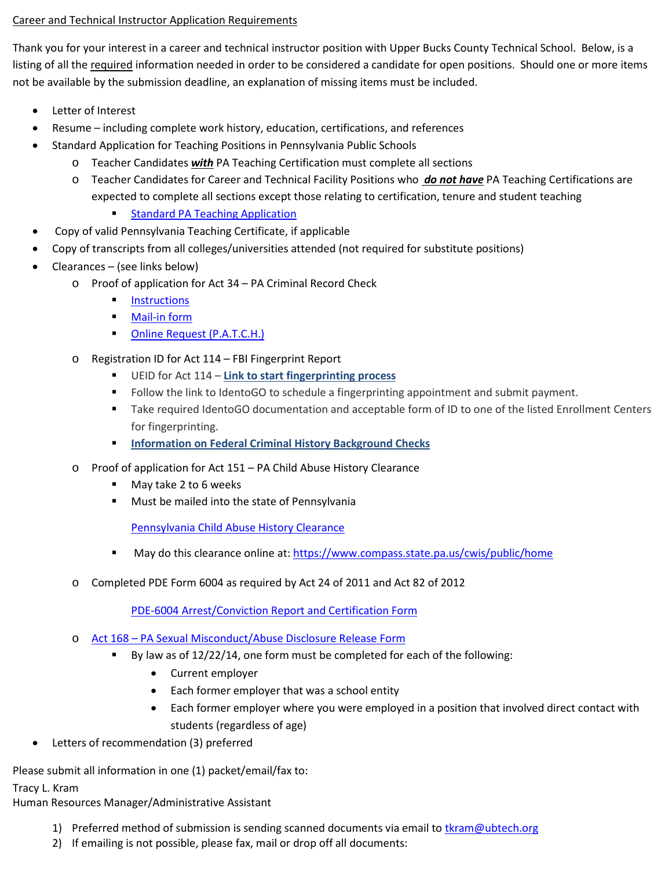## Career and Technical Instructor Application Requirements

Thank you for your interest in a career and technical instructor position with Upper Bucks County Technical School. Below, is a listing of all the required information needed in order to be considered a candidate for open positions. Should one or more items not be available by the submission deadline, an explanation of missing items must be included.

- Letter of Interest
- Resume including complete work history, education, certifications, and references
- Standard Application for Teaching Positions in Pennsylvania Public Schools
	- o Teacher Candidates *with* PA Teaching Certification must complete all sections
	- o Teacher Candidates for Career and Technical Facility Positions who *do not have* PA Teaching Certifications are expected to complete all sections except those relating to certification, tenure and student teaching

## **[Standard PA Teaching](http://www.ubtech.org/cms/lib07/PA01000400/Centricity/Domain/48/PA%20Teaching%20Application%202.pdf) Application**

- Copy of valid Pennsylvania Teaching Certificate, if applicable
- Copy of transcripts from all colleges/universities attended (not required for substitute positions)
- Clearances (see links below)
	- o Proof of application for Act 34 PA Criminal Record Check
		- **[Instructions](http://www.ubtech.org/cms/lib07/PA01000400/Centricity/Domain/48/Applicant%20Background%20Check%20Required%20by%20Act%2034%20of%201985.pdf)**
		- [Mail-in form](http://www.ubtech.org/cms/lib07/PA01000400/Centricity/Domain/48/CriminalBackgroundCheck1.pdf)
		- [Online Request \(P.A.T.C.H.\)](https://epatch.state.pa.us/Home.jsp)
	- o Registration ID for Act 114 FBI Fingerprint Report
		- UEID for Act 114 **[Link to start fingerprinting process](https://uenroll.identogo.com/workflows/1KG6NX)**
		- Follow the link to IdentoGO to schedule a fingerprinting appointment and submit payment.
		- **Take required IdentoGO documentation and acceptable form of ID to one of the listed Enrollment Centers** for fingerprinting.
		- **[Information on Federal Criminal History Background Checks](http://www.education.pa.gov/Teachers%20-%20Administrators/Background%20checks/Pages/Federal-Criminal-History-Background-Checks.aspx#tab-1)**
	- o Proof of application for Act 151 PA Child Abuse History Clearance
		- May take 2 to 6 weeks
		- **Must be mailed into the state of Pennsylvania**

[Pennsylvania Child Abuse History Clearance](http://www.ubtech.org/cms/lib07/PA01000400/Centricity/Domain/52/Child%20Abuse%20Dec09.pdf)

- May do this clearance online at:<https://www.compass.state.pa.us/cwis/public/home>
- o Completed PDE Form 6004 as required by Act 24 of 2011 and Act 82 of 2012

[PDE-6004 Arrest/Conviction Report and Certification Form](http://www.ubtech.org/cms/lib07/PA01000400/Centricity/Domain/52/Arrest%20or%20Conviction%20form.pdf)

- o Act 168 [PA Sexual Misconduct/Abuse Disclosure Release Form](https://www.ubtech.org/cms/lib/PA01000400/Centricity/Domain/1/Act%20168%20-%20Attachment%20-%20Commonwealth%20of%20Pennsylvania%20Sexual%20Misconduct-Abuse%20Disclosure%20Release.pdf)
	- By law as of  $12/22/14$ , one form must be completed for each of the following:
		- Current employer
		- Each former employer that was a school entity
		- Each former employer where you were employed in a position that involved direct contact with students (regardless of age)
- Letters of recommendation (3) preferred

Please submit all information in one (1) packet/email/fax to:

## Tracy L. Kram

Human Resources Manager/Administrative Assistant

- 1) Preferred method of submission is sending scanned documents via email t[o tkram@ubtech.org](mailto:tkram@ubtech.org)
- 2) If emailing is not possible, please fax, mail or drop off all documents: